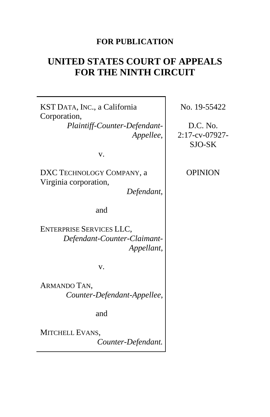## **FOR PUBLICATION**

# **UNITED STATES COURT OF APPEALS FOR THE NINTH CIRCUIT**

KST DATA, INC., a California Corporation,

*Plaintiff-Counter-Defendant-Appellee*,

v.

DXC TECHNOLOGY COMPANY, a Virginia corporation,

*Defendant*,

and

ENTERPRISE SERVICES LLC, *Defendant-Counter-Claimant-Appellant*,

v.

ARMANDO TAN, *Counter-Defendant-Appellee*,

and

MITCHELL EVANS. *Counter-Defendant.* No. 19-55422

D.C. No. 2:17-cv-07927- SJO-SK

OPINION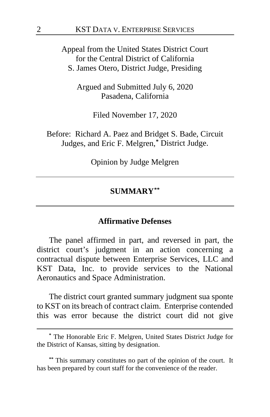Appeal from the United States District Court for the Central District of California S. James Otero, District Judge, Presiding

> Argued and Submitted July 6, 2020 Pasadena, California

> > Filed November 17, 2020

Before: Richard A. Paez and Bridget S. Bade, Circuit Judges, and Eric F. Melgren,**[\\*](#page-1-0)** District Judge.

Opinion by Judge Melgren

## **SUMMARY[\\*\\*](#page-1-1)**

## **Affirmative Defenses**

The panel affirmed in part, and reversed in part, the district court's judgment in an action concerning a contractual dispute between Enterprise Services, LLC and KST Data, Inc. to provide services to the National Aeronautics and Space Administration.

The district court granted summary judgment sua sponte to KST on its breach of contract claim. Enterprise contended this was error because the district court did not give

<span id="page-1-0"></span>**<sup>\*</sup>** The Honorable Eric F. Melgren, United States District Judge for the District of Kansas, sitting by designation.

<span id="page-1-1"></span>**<sup>\*\*</sup>** This summary constitutes no part of the opinion of the court. It has been prepared by court staff for the convenience of the reader.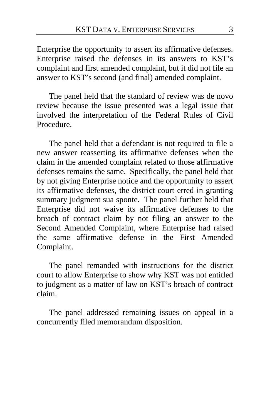Enterprise the opportunity to assert its affirmative defenses. Enterprise raised the defenses in its answers to KST's complaint and first amended complaint, but it did not file an answer to KST's second (and final) amended complaint.

The panel held that the standard of review was de novo review because the issue presented was a legal issue that involved the interpretation of the Federal Rules of Civil Procedure.

The panel held that a defendant is not required to file a new answer reasserting its affirmative defenses when the claim in the amended complaint related to those affirmative defenses remains the same. Specifically, the panel held that by not giving Enterprise notice and the opportunity to assert its affirmative defenses, the district court erred in granting summary judgment sua sponte. The panel further held that Enterprise did not waive its affirmative defenses to the breach of contract claim by not filing an answer to the Second Amended Complaint, where Enterprise had raised the same affirmative defense in the First Amended Complaint.

The panel remanded with instructions for the district court to allow Enterprise to show why KST was not entitled to judgment as a matter of law on KST's breach of contract claim.

The panel addressed remaining issues on appeal in a concurrently filed memorandum disposition.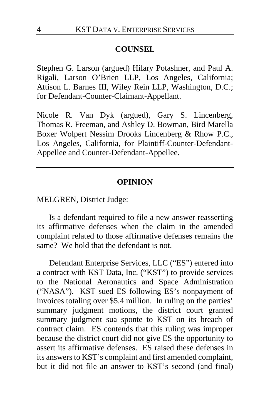## **COUNSEL**

Stephen G. Larson (argued) Hilary Potashner, and Paul A. Rigali, Larson O'Brien LLP, Los Angeles, California; Attison L. Barnes III, Wiley Rein LLP, Washington, D.C.; for Defendant-Counter-Claimant-Appellant.

Nicole R. Van Dyk (argued), Gary S. Lincenberg, Thomas R. Freeman, and Ashley D. Bowman, Bird Marella Boxer Wolpert Nessim Drooks Lincenberg & Rhow P.C., Los Angeles, California, for Plaintiff-Counter-Defendant-Appellee and Counter-Defendant-Appellee.

## **OPINION**

MELGREN, District Judge:

Is a defendant required to file a new answer reasserting its affirmative defenses when the claim in the amended complaint related to those affirmative defenses remains the same? We hold that the defendant is not.

Defendant Enterprise Services, LLC ("ES") entered into a contract with KST Data, Inc. ("KST") to provide services to the National Aeronautics and Space Administration ("NASA"). KST sued ES following ES's nonpayment of invoices totaling over \$5.4 million. In ruling on the parties' summary judgment motions, the district court granted summary judgment sua sponte to KST on its breach of contract claim. ES contends that this ruling was improper because the district court did not give ES the opportunity to assert its affirmative defenses. ES raised these defenses in its answers to KST's complaint and first amended complaint, but it did not file an answer to KST's second (and final)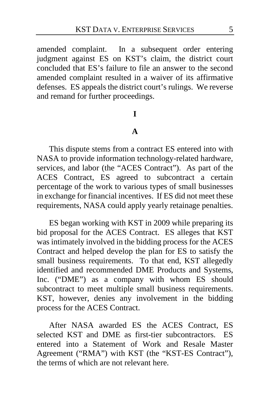amended complaint. In a subsequent order entering judgment against ES on KST's claim, the district court concluded that ES's failure to file an answer to the second amended complaint resulted in a waiver of its affirmative defenses. ES appeals the district court's rulings. We reverse and remand for further proceedings.

## **I**

## **A**

This dispute stems from a contract ES entered into with NASA to provide information technology-related hardware, services, and labor (the "ACES Contract"). As part of the ACES Contract, ES agreed to subcontract a certain percentage of the work to various types of small businesses in exchange for financial incentives. If ES did not meet these requirements, NASA could apply yearly retainage penalties.

ES began working with KST in 2009 while preparing its bid proposal for the ACES Contract. ES alleges that KST was intimately involved in the bidding process for the ACES Contract and helped develop the plan for ES to satisfy the small business requirements. To that end, KST allegedly identified and recommended DME Products and Systems, Inc. ("DME") as a company with whom ES should subcontract to meet multiple small business requirements. KST, however, denies any involvement in the bidding process for the ACES Contract.

After NASA awarded ES the ACES Contract, ES selected KST and DME as first-tier subcontractors. ES entered into a Statement of Work and Resale Master Agreement ("RMA") with KST (the "KST-ES Contract"), the terms of which are not relevant here.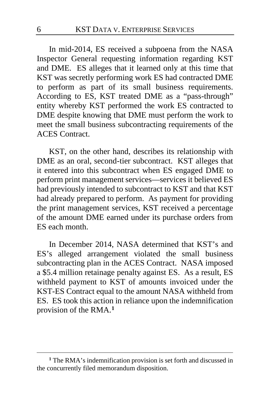In mid-2014, ES received a subpoena from the NASA Inspector General requesting information regarding KST and DME. ES alleges that it learned only at this time that KST was secretly performing work ES had contracted DME to perform as part of its small business requirements. According to ES, KST treated DME as a "pass-through" entity whereby KST performed the work ES contracted to DME despite knowing that DME must perform the work to meet the small business subcontracting requirements of the ACES Contract.

KST, on the other hand, describes its relationship with DME as an oral, second-tier subcontract. KST alleges that it entered into this subcontract when ES engaged DME to perform print management services—services it believed ES had previously intended to subcontract to KST and that KST had already prepared to perform. As payment for providing the print management services, KST received a percentage of the amount DME earned under its purchase orders from ES each month.

In December 2014, NASA determined that KST's and ES's alleged arrangement violated the small business subcontracting plan in the ACES Contract. NASA imposed a \$5.4 million retainage penalty against ES. As a result, ES withheld payment to KST of amounts invoiced under the KST-ES Contract equal to the amount NASA withheld from ES. ES took this action in reliance upon the indemnification provision of the RMA.**[1](#page-5-0)**

<span id="page-5-0"></span>**<sup>1</sup>** The RMA's indemnification provision is set forth and discussed in the concurrently filed memorandum disposition.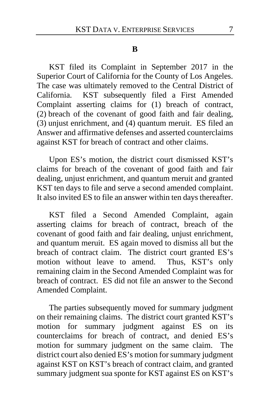#### **B**

KST filed its Complaint in September 2017 in the Superior Court of California for the County of Los Angeles. The case was ultimately removed to the Central District of California. KST subsequently filed a First Amended Complaint asserting claims for (1) breach of contract, (2) breach of the covenant of good faith and fair dealing, (3) unjust enrichment, and (4) quantum meruit. ES filed an Answer and affirmative defenses and asserted counterclaims against KST for breach of contract and other claims.

Upon ES's motion, the district court dismissed KST's claims for breach of the covenant of good faith and fair dealing, unjust enrichment, and quantum meruit and granted KST ten days to file and serve a second amended complaint. It also invited ES to file an answer within ten days thereafter.

KST filed a Second Amended Complaint, again asserting claims for breach of contract, breach of the covenant of good faith and fair dealing, unjust enrichment, and quantum meruit. ES again moved to dismiss all but the breach of contract claim. The district court granted ES's motion without leave to amend. Thus, KST's only remaining claim in the Second Amended Complaint was for breach of contract. ES did not file an answer to the Second Amended Complaint.

The parties subsequently moved for summary judgment on their remaining claims. The district court granted KST's motion for summary judgment against ES on its counterclaims for breach of contract, and denied ES's motion for summary judgment on the same claim. The district court also denied ES's motion for summary judgment against KST on KST's breach of contract claim, and granted summary judgment sua sponte for KST against ES on KST's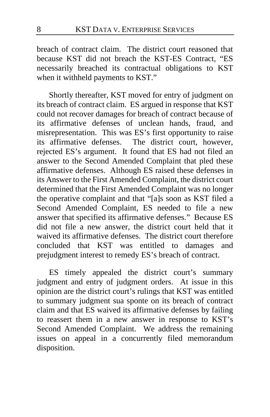breach of contract claim. The district court reasoned that because KST did not breach the KST-ES Contract, "ES necessarily breached its contractual obligations to KST when it withheld payments to KST."

Shortly thereafter, KST moved for entry of judgment on its breach of contract claim. ES argued in response that KST could not recover damages for breach of contract because of its affirmative defenses of unclean hands, fraud, and misrepresentation. This was ES's first opportunity to raise its affirmative defenses. The district court, however, rejected ES's argument. It found that ES had not filed an answer to the Second Amended Complaint that pled these affirmative defenses. Although ES raised these defenses in its Answer to the First Amended Complaint, the district court determined that the First Amended Complaint was no longer the operative complaint and that "[a]s soon as KST filed a Second Amended Complaint, ES needed to file a new answer that specified its affirmative defenses." Because ES did not file a new answer, the district court held that it waived its affirmative defenses. The district court therefore concluded that KST was entitled to damages and prejudgment interest to remedy ES's breach of contract.

ES timely appealed the district court's summary judgment and entry of judgment orders. At issue in this opinion are the district court's rulings that KST was entitled to summary judgment sua sponte on its breach of contract claim and that ES waived its affirmative defenses by failing to reassert them in a new answer in response to KST's Second Amended Complaint. We address the remaining issues on appeal in a concurrently filed memorandum disposition.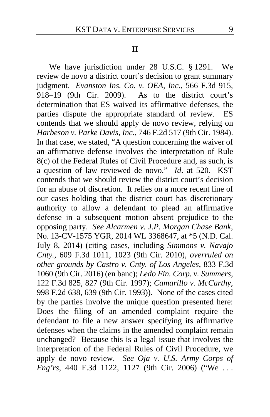## **II**

We have jurisdiction under 28 U.S.C. § 1291. We review de novo a district court's decision to grant summary judgment. *Evanston Ins. Co. v. OEA, Inc.*, 566 F.3d 915, 918–19 (9th Cir. 2009). As to the district court's determination that ES waived its affirmative defenses, the parties dispute the appropriate standard of review. ES contends that we should apply de novo review, relying on *Harbeson v. Parke Davis, Inc.*, 746 F.2d 517 (9th Cir. 1984). In that case, we stated, "A question concerning the waiver of an affirmative defense involves the interpretation of Rule 8(c) of the Federal Rules of Civil Procedure and, as such, is a question of law reviewed de novo." *Id*. at 520. KST contends that we should review the district court's decision for an abuse of discretion. It relies on a more recent line of our cases holding that the district court has discretionary authority to allow a defendant to plead an affirmative defense in a subsequent motion absent prejudice to the opposing party. *See Alcarmen v. J.P. Morgan Chase Bank*, No. 13-CV-1575 YGR, 2014 WL 3368647, at \*5 (N.D. Cal. July 8, 2014) (citing cases, including *Simmons v. Navajo Cnty.*, 609 F.3d 1011, 1023 (9th Cir. 2010), *overruled on other grounds by Castro v. Cnty. of Los Angeles*, 833 F.3d 1060 (9th Cir. 2016) (en banc); *Ledo Fin. Corp. v. Summers*, 122 F.3d 825, 827 (9th Cir. 1997); *Camarillo v. McCarthy*, 998 F.2d 638, 639 (9th Cir. 1993)). None of the cases cited by the parties involve the unique question presented here: Does the filing of an amended complaint require the defendant to file a new answer specifying its affirmative defenses when the claims in the amended complaint remain unchanged? Because this is a legal issue that involves the interpretation of the Federal Rules of Civil Procedure, we apply de novo review. *See Oja v. U.S. Army Corps of Eng'rs*, 440 F.3d 1122, 1127 (9th Cir. 2006) ("We . . .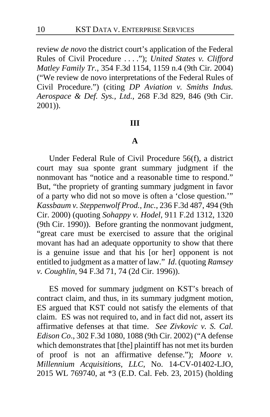review *de novo* the district court's application of the Federal Rules of Civil Procedure . . . ."); *United States v. Clifford Matley Family Tr.*, 354 F.3d 1154, 1159 n.4 (9th Cir. 2004) ("We review de novo interpretations of the Federal Rules of Civil Procedure.") (citing *DP Aviation v. Smiths Indus. Aerospace & Def. Sys., Ltd.*, 268 F.3d 829, 846 (9th Cir. 2001)).

## **III**

## **A**

Under Federal Rule of Civil Procedure 56(f), a district court may sua sponte grant summary judgment if the nonmovant has "notice and a reasonable time to respond." But, "the propriety of granting summary judgment in favor of a party who did not so move is often a 'close question.'" *Kassbaum v. Steppenwolf Prod., Inc.*, 236 F.3d 487, 494 (9th Cir. 2000) (quoting *Sohappy v. Hodel*, 911 F.2d 1312, 1320 (9th Cir. 1990)). Before granting the nonmovant judgment, "great care must be exercised to assure that the original movant has had an adequate opportunity to show that there is a genuine issue and that his [or her] opponent is not entitled to judgment as a matter of law." *Id*. (quoting *Ramsey v. Coughlin*, 94 F.3d 71, 74 (2d Cir. 1996)).

ES moved for summary judgment on KST's breach of contract claim, and thus, in its summary judgment motion, ES argued that KST could not satisfy the elements of that claim. ES was not required to, and in fact did not, assert its affirmative defenses at that time. *See Zivkovic v. S. Cal. Edison Co*., 302 F.3d 1080, 1088 (9th Cir. 2002) ("A defense which demonstrates that [the] plaintiff has not met its burden of proof is not an affirmative defense."); *Moore v. Millennium Acquisitions, LLC*, No. 14-CV-01402-LJO, 2015 WL 769740, at \*3 (E.D. Cal. Feb. 23, 2015) (holding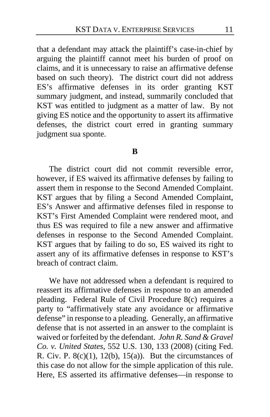that a defendant may attack the plaintiff's case-in-chief by arguing the plaintiff cannot meet his burden of proof on claims, and it is unnecessary to raise an affirmative defense based on such theory). The district court did not address ES's affirmative defenses in its order granting KST summary judgment, and instead, summarily concluded that KST was entitled to judgment as a matter of law. By not giving ES notice and the opportunity to assert its affirmative defenses, the district court erred in granting summary judgment sua sponte.

#### **B**

The district court did not commit reversible error, however, if ES waived its affirmative defenses by failing to assert them in response to the Second Amended Complaint. KST argues that by filing a Second Amended Complaint, ES's Answer and affirmative defenses filed in response to KST's First Amended Complaint were rendered moot, and thus ES was required to file a new answer and affirmative defenses in response to the Second Amended Complaint. KST argues that by failing to do so, ES waived its right to assert any of its affirmative defenses in response to KST's breach of contract claim.

We have not addressed when a defendant is required to reassert its affirmative defenses in response to an amended pleading. Federal Rule of Civil Procedure 8(c) requires a party to "affirmatively state any avoidance or affirmative defense" in response to a pleading. Generally, an affirmative defense that is not asserted in an answer to the complaint is waived or forfeited by the defendant. *John R. Sand & Gravel Co. v. United States*, 552 U.S. 130, 133 (2008) (citing Fed. R. Civ. P.  $8(c)(1)$ ,  $12(b)$ ,  $15(a)$ ). But the circumstances of this case do not allow for the simple application of this rule. Here, ES asserted its affirmative defenses—in response to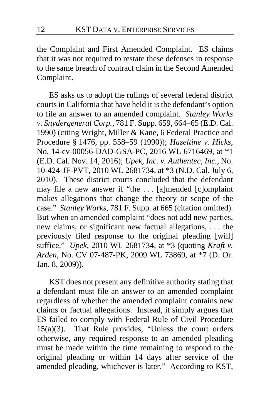the Complaint and First Amended Complaint. ES claims that it was not required to restate these defenses in response to the same breach of contract claim in the Second Amended Complaint.

ES asks us to adopt the rulings of several federal district courts in California that have held it is the defendant's option to file an answer to an amended complaint. *Stanley Works v. Snydergeneral Corp.*, 781 F. Supp. 659, 664–65 (E.D. Cal. 1990) (citing Wright, Miller & Kane, 6 Federal Practice and Procedure § 1476, pp. 558–59 (1990)); *Hazeltine v. Hicks*, No. 14-cv-00056-DAD-GSA-PC, 2016 WL 6716469, at \*1 (E.D. Cal. Nov. 14, 2016); *Upek, Inc. v. Authentec, Inc.*, No. 10-424-JF-PVT, 2010 WL 2681734, at \*3 (N.D. Cal. July 6, 2010). These district courts concluded that the defendant may file a new answer if "the . . . [a]mended [c]omplaint makes allegations that change the theory or scope of the case." *Stanley Works*, 781 F. Supp. at 665 (citation omitted). But when an amended complaint "does not add new parties, new claims, or significant new factual allegations, . . . the previously filed response to the original pleading [will] suffice." *Upek*, 2010 WL 2681734, at \*3 (quoting *Kraft v. Arden*, No. CV 07-487-PK, 2009 WL 73869, at \*7 (D. Or. Jan. 8, 2009)).

KST does not present any definitive authority stating that a defendant must file an answer to an amended complaint regardless of whether the amended complaint contains new claims or factual allegations. Instead, it simply argues that ES failed to comply with Federal Rule of Civil Procedure  $15(a)(3)$ . That Rule provides, "Unless the court orders otherwise, any required response to an amended pleading must be made within the time remaining to respond to the original pleading or within 14 days after service of the amended pleading, whichever is later." According to KST,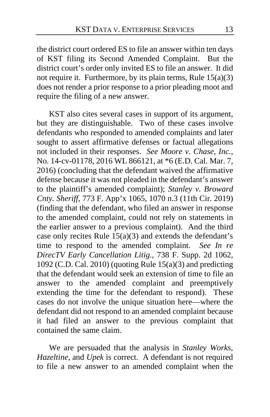the district court ordered ES to file an answer within ten days of KST filing its Second Amended Complaint. But the district court's order only invited ES to file an answer. It did not require it. Furthermore, by its plain terms, Rule 15(a)(3) does not render a prior response to a prior pleading moot and require the filing of a new answer.

KST also cites several cases in support of its argument, but they are distinguishable. Two of these cases involve defendants who responded to amended complaints and later sought to assert affirmative defenses or factual allegations not included in their responses. *See Moore v. Chase, Inc.*, No. 14-cv-01178, 2016 WL 866121, at \*6 (E.D. Cal. Mar. 7, 2016) (concluding that the defendant waived the affirmative defense because it was not pleaded in the defendant's answer to the plaintiff's amended complaint); *Stanley v. Broward Cnty. Sheriff*, 773 F. App'x 1065, 1070 n.3 (11th Cir. 2019) (finding that the defendant, who filed an answer in response to the amended complaint, could not rely on statements in the earlier answer to a previous complaint). And the third case only recites Rule  $15(a)(3)$  and extends the defendant's time to respond to the amended complaint. *See In re DirecTV Early Cancellation Litig.*, 738 F. Supp. 2d 1062, 1092 (C.D. Cal. 2010) (quoting Rule 15(a)(3) and predicting that the defendant would seek an extension of time to file an answer to the amended complaint and preemptively extending the time for the defendant to respond). These cases do not involve the unique situation here—where the defendant did not respond to an amended complaint because it had filed an answer to the previous complaint that contained the same claim.

We are persuaded that the analysis in *Stanley Works*, *Hazeltine*, and *Upek* is correct. A defendant is not required to file a new answer to an amended complaint when the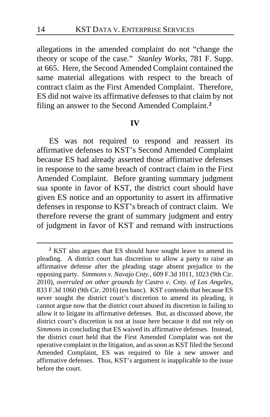allegations in the amended complaint do not "change the theory or scope of the case." *Stanley Works*, 781 F. Supp. at 665. Here, the Second Amended Complaint contained the same material allegations with respect to the breach of contract claim as the First Amended Complaint. Therefore, ES did not waive its affirmative defenses to that claim by not filing an answer to the Second Amended Complaint.**[2](#page-13-0)**

## **IV**

ES was not required to respond and reassert its affirmative defenses to KST's Second Amended Complaint because ES had already asserted those affirmative defenses in response to the same breach of contract claim in the First Amended Complaint. Before granting summary judgment sua sponte in favor of KST, the district court should have given ES notice and an opportunity to assert its affirmative defenses in response to KST's breach of contract claim. We therefore reverse the grant of summary judgment and entry of judgment in favor of KST and remand with instructions

<span id="page-13-0"></span>**<sup>2</sup>** KST also argues that ES should have sought leave to amend its pleading. A district court has discretion to allow a party to raise an affirmative defense after the pleading stage absent prejudice to the opposing party. *Simmons v. Navajo Cnty.*, 609 F.3d 1011, 1023 (9th Cir. 2010), *overruled on other grounds by Castro v. Cnty. of Los Angeles*, 833 F.3d 1060 (9th Cir. 2016) (en banc). KST contends that because ES never sought the district court's discretion to amend its pleading, it cannot argue now that the district court abused its discretion in failing to allow it to litigate its affirmative defenses. But, as discussed above, the district court's discretion is not at issue here because it did not rely on *Simmons* in concluding that ES waived its affirmative defenses. Instead, the district court held that the First Amended Complaint was not the operative complaint in the litigation, and as soon as KST filed the Second Amended Complaint, ES was required to file a new answer and affirmative defenses. Thus, KST's argument is inapplicable to the issue before the court.